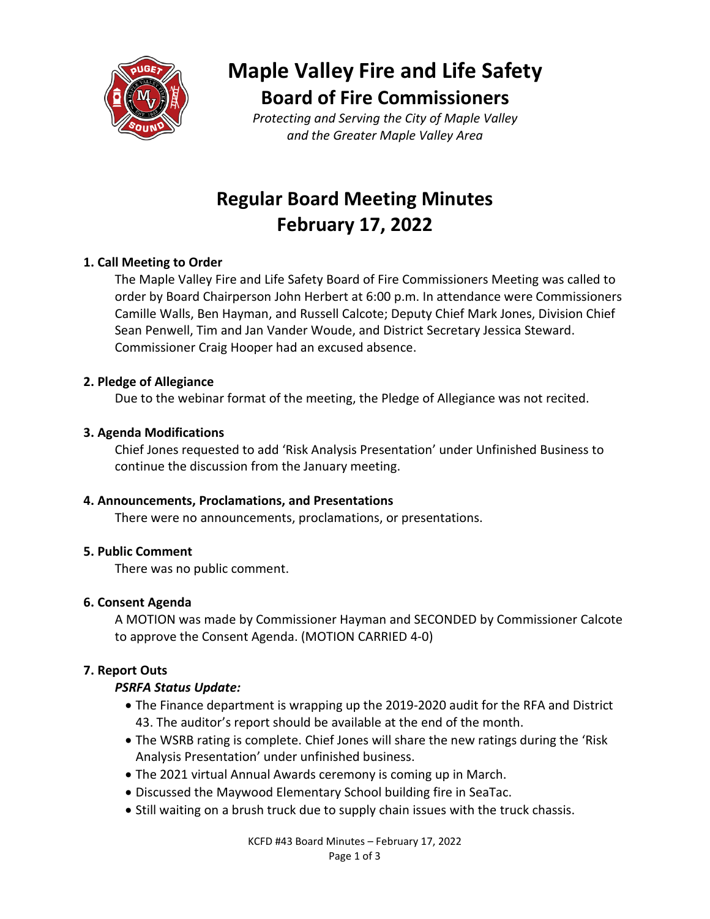

# **Maple Valley Fire and Life Safety Board of Fire Commissioners**

*Protecting and Serving the City of Maple Valley and the Greater Maple Valley Area*

## **Regular Board Meeting Minutes February 17, 2022**

## **1. Call Meeting to Order**

The Maple Valley Fire and Life Safety Board of Fire Commissioners Meeting was called to order by Board Chairperson John Herbert at 6:00 p.m. In attendance were Commissioners Camille Walls, Ben Hayman, and Russell Calcote; Deputy Chief Mark Jones, Division Chief Sean Penwell, Tim and Jan Vander Woude, and District Secretary Jessica Steward. Commissioner Craig Hooper had an excused absence.

## **2. Pledge of Allegiance**

Due to the webinar format of the meeting, the Pledge of Allegiance was not recited.

## **3. Agenda Modifications**

Chief Jones requested to add 'Risk Analysis Presentation' under Unfinished Business to continue the discussion from the January meeting.

## **4. Announcements, Proclamations, and Presentations**

There were no announcements, proclamations, or presentations.

## **5. Public Comment**

There was no public comment.

## **6. Consent Agenda**

A MOTION was made by Commissioner Hayman and SECONDED by Commissioner Calcote to approve the Consent Agenda. (MOTION CARRIED 4-0)

## **7. Report Outs**

## *PSRFA Status Update:*

- The Finance department is wrapping up the 2019-2020 audit for the RFA and District 43. The auditor's report should be available at the end of the month.
- The WSRB rating is complete. Chief Jones will share the new ratings during the 'Risk Analysis Presentation' under unfinished business.
- The 2021 virtual Annual Awards ceremony is coming up in March.
- Discussed the Maywood Elementary School building fire in SeaTac.
- Still waiting on a brush truck due to supply chain issues with the truck chassis.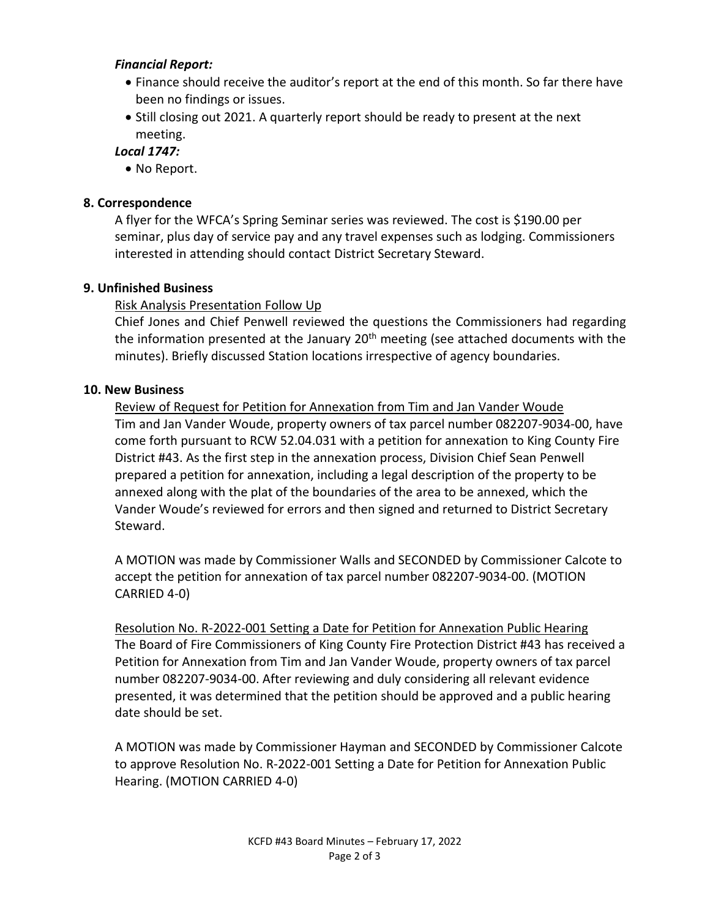#### *Financial Report:*

- Finance should receive the auditor's report at the end of this month. So far there have been no findings or issues.
- Still closing out 2021. A quarterly report should be ready to present at the next meeting.

#### *Local 1747:*

• No Report.

### **8. Correspondence**

A flyer for the WFCA's Spring Seminar series was reviewed. The cost is \$190.00 per seminar, plus day of service pay and any travel expenses such as lodging. Commissioners interested in attending should contact District Secretary Steward.

#### **9. Unfinished Business**

## Risk Analysis Presentation Follow Up

Chief Jones and Chief Penwell reviewed the questions the Commissioners had regarding the information presented at the January 20<sup>th</sup> meeting (see attached documents with the minutes). Briefly discussed Station locations irrespective of agency boundaries.

#### **10. New Business**

Review of Request for Petition for Annexation from Tim and Jan Vander Woude Tim and Jan Vander Woude, property owners of tax parcel number 082207-9034-00, have come forth pursuant to RCW 52.04.031 with a petition for annexation to King County Fire District #43. As the first step in the annexation process, Division Chief Sean Penwell prepared a petition for annexation, including a legal description of the property to be annexed along with the plat of the boundaries of the area to be annexed, which the Vander Woude's reviewed for errors and then signed and returned to District Secretary Steward.

A MOTION was made by Commissioner Walls and SECONDED by Commissioner Calcote to accept the petition for annexation of tax parcel number 082207-9034-00. (MOTION CARRIED 4-0)

Resolution No. R-2022-001 Setting a Date for Petition for Annexation Public Hearing The Board of Fire Commissioners of King County Fire Protection District #43 has received a Petition for Annexation from Tim and Jan Vander Woude, property owners of tax parcel number 082207-9034-00. After reviewing and duly considering all relevant evidence presented, it was determined that the petition should be approved and a public hearing date should be set.

A MOTION was made by Commissioner Hayman and SECONDED by Commissioner Calcote to approve Resolution No. R-2022-001 Setting a Date for Petition for Annexation Public Hearing. (MOTION CARRIED 4-0)